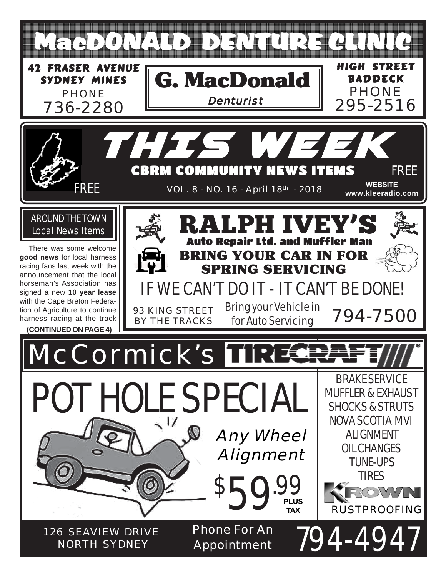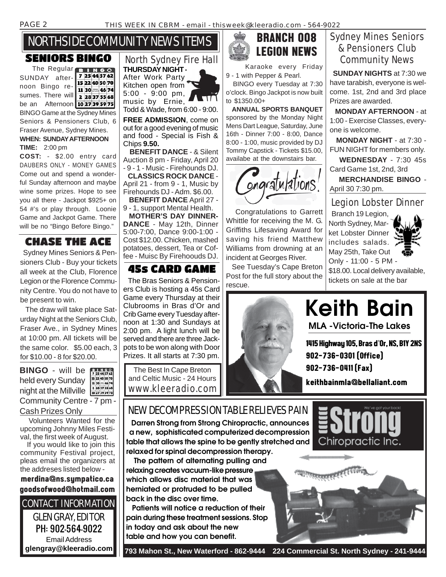# NORTHSIDE COMMUNITY NEWS ITEMS

### SENIORS BINGO

The Regular **BINGO** 7 25 44 57 62 SUNDAY after-15 22 40 50 70 noon Bingo re-11 30 33 46 74 sumes. There will 2 28 37 55 68 be an Afternoon 1027395975 BINGO Game at the Sydney Mines Seniors & Pensioners Club, 6 Fraser Avenue, Sydney Mines. **WHEN: SUNDAY AFTERNOON**

### **TIME:** 2:00 pm

**COST:** - \$2.00 entry card DAUBERS ONLY - MONEY GAMES Come out and spend a wonderful Sunday afternoon and maybe wine some prizes. Hope to see you all there - Jackpot \$925+ on 54 #'s or play through. Loonie Game and Jackpot Game. There will be no "Bingo Before Bingo."

## CHASE THE ACE

 Sydney Mines Seniors & Pensioners Club - Buy your tickets all week at the Club, Florence Legion or the Florence Community Centre. You do not have to be present to win.

 The draw will take place Saturday Night at the Seniors Club, Fraser Ave., in Sydney Mines at 10:00 pm. All tickets will be the same color. \$5.00 each, 3 for \$10.00 - 8 for \$20.00.

**BINGO** - will be held every Sunday 2 28 37 55 68 night at the Millville  $\frac{2.28375566}{10.27395975}$ Community Centre - 7 pm - Cash Prizes Only

 Volunteers Wanted for the upcoming Johnny Miles Festival, the first week of August.

 If you would like to join this community Festival project, pleas email the organizers at the addreses listed below -

merdina@ns.sympatico.ca goodsofwood@hotmail.com

CONTACT INFORMATION GLEN GRAY, EDITOR PH: 902-564-9022 Email Address **glengray@kleeradio.com**

### North Sydney Fire Hall **THURSDAY NIGHT -**

After Work Party Kitchen open from 5:00 - 9:00 pm, music by Ernie,

Todd & Wade, from 6:00 - 9:00.

**FREE ADMISSION**, come on out for a good evening of music and food - Special is Fish & Chips **9.50.**

 **BENEFIT DANCE** - & Silent Auction 8 pm - Friday, April 20 - 9 - 1 - Music - Firehounds DJ.

 **CLASSICS ROCK DANCE** - April 21 - from 9 - 1, Music by Firehounds DJ - Adm. \$6.00.

 **BENEFIT DANCE** April 27 - 9 - 1, support Mental Health.

 **MOTHER'S DAY DINNER-DANCE** - May 12th, Dinner 5:00-7:00, Dance 9:00-1:00 - Cost \$12.00. Chicken, mashed potatoes, dessert, Tea or Coffee - Muisc By Firehoouds DJ.

## 45s CARD GAME

 The Bras Seniors & Pensioners Club is hosting a 45s Card Game every Thursday at their Clubrooms in Bras d'Or and Crib Game every Tuesday afternoon at 1:30 and Sundays at 2:00 pm. A light lunch will be served and there are three Jackpots to be won along with Door Prizes. It all starts at 7:30 pm.

The Best In Cape Breton and Celtic Music - 24 Hours www.kleeradio.com



 Karaoke every Friday 9 - 1 with Pepper & Pearl.

 BINGO every Tuesday at 7:30 o'clock. Bingo Jackpot is now built to \$1350.00+

 **ANNUAL SPORTS BANQUET** sponsored by the Monday Night Mens Dart League, Saturday, June 16th - Dinner 7:00 - 8:00, Dance 8:00 - 1:00, music provided by DJ Tommy Capstick - Tickets \$15.00, availabe at the downstairs bar.



 Congratulations to Garrett Whittle for receiving the M. G. Griffiths Lifesaving Award for saving his friend Matthew Williams from drowning at an incident at Georges River.

 See Tuesday's Cape Breton Post for the full story about the rescue.



## Sydney Mines Seniors & Pensioners Club Community News

 **SUNDAY NIGHTS** at 7:30 we have tarabish, everyone is welcome. 1st, 2nd and 3rd place Prizes are awarded.

 **MONDAY AFTERNOON** - at 1:00 - Exercise Classes, everyone is welcome.

 **MONDAY NIGHT** - at 7:30 - FUN NIGHT for members only.

 **WEDNESDAY** - 7:30 45s Card Game 1st, 2nd, 3rd

 **MERCHANDISE BINGO** - April 30 7:30 pm.

### Legion Lobster Dinner

 Branch 19 Legion, North Sydney, Market Lobster Dinner includes salads. May 25th, Take Out Only - 11:00 - 5 PM -



\$18.00. Local delivery available, tickets on sale at the bar

**MLA -Victoria-The Lakes Keith Bain**

1415 Highway 105, Bras d'Or, NS, B1Y 2NS 902-736-0301 (Office)

902-736-0411 (Fax)

keithbainmla@bellaliant.com

## NEW DECOMPRESSION TABLE RELIEVES PAIN

 **Darren Strong from Strong Chiropractic, announces a new, sophisticated computerized decompression table that allows the spine to be gently stretched and relaxed for spinal decompression therapy.**

 **The pattern of alternating pulling and relaxing creates vacuum-like pressure which allows disc material that was herniated or protruded to be pulled back in the disc over time.**

 **Patients will notice a reduction of their pain during these treatment sessions. Stop in today and ask about the new table and how you can benefit.**



 **793 Mahon St., New Waterford - 862-9444 224 Commercial St. North Sydney - 241-9444**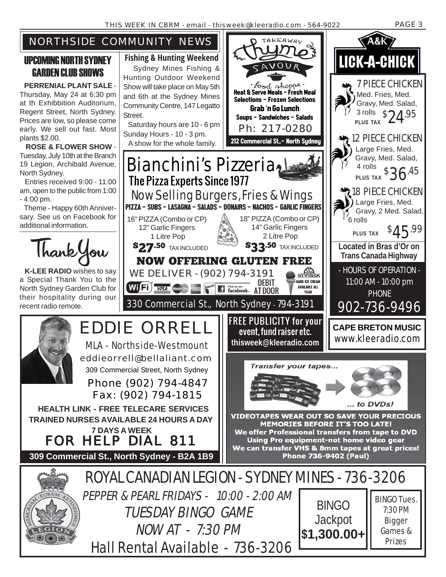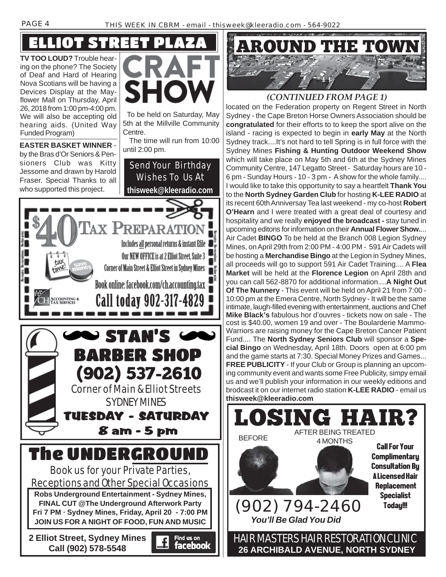**TV TOO LOUD?** Trouble hearing on the phone? The Society of Deaf and Hard of Hearing Nova Scotians will be having a Devices Display at the Mayflower Mall on Thursday, April 26, 2018 from 1:00 pm-4:00 pm. We will also be accepting old hearing aids. (United Way Funded Program)

ELLIOT

**EASTER BASKET WINNER** by the Bras d'Or Seniors & Pensioners Club was Kitty Jessome and drawn by Harold



 To be held on Saturday, May 5th at the Millville Community Centre.

 The time will run from 10:00 until 2:00 pm.

Send Your Birthday





## *(CONTINUED FROM PAGE 1)*

located on the Federation property on Regent Street in North Sydney - the Cape Breton Horse Owners Association should be **congratulated** for their efforts to to keep the sport alive on the island - racing is expected to begin in **early May** at the North Sydney track....It's not hard to tell Spring is in full force with the Sydney Mines **Fishing & Hunting Outdoor Weekend Show** which will take place on May 5th and 6th at the Sydney Mines Community Centre, 147 Legatto Street - Saturday hours are 10 - 6 pm - Sunday Hours - 10 - 3 pm - A show for the whole family.... I would like to take this opportunity to say a heartfelt **Thank You** to the **North Sydney Garden Club** for hosting **K-LEE RADIO** at its recent 60th Anniversay Tea last weekend - my co-host **Robert O'Hearn** and I were treated with a great deal of courtesy and hospitality and we really **enjoyed the broadcast -** stay tuned in upcoming editons for information on their **Annual Flower Show.**... Air Cadet **BINGO** To be held at the Branch 008 Legion Sydney Mines, on April 29th from 2:00 PM - 4:00 PM - 591 Air Cadets will be hosting a **Merchandise Bingo** at the Legion in Sydney Mines, all proceeds will go to support 591 Air Cadet Training.... A **Flea Market** will be held at the **Florence Legion** on April 28th and you can call 562-8870 for additional information....**A Night Out Of The Nunnery** - This event will be held on April 21 from 7:00 - 10:00 pm at the Emera Centre, North Sydney - It will be the same intimate, laugh-filled evening with entertainment, auctions and Chef **Mike Black's** fabulous hor d'ouvres - tickets now on sale - The cost is \$40.00, women 19 and over - The Boularderie Mammo-Warriors are raising money for the Cape Breton Cancer Patient Fund.... The **North Sydney Seniors Club** will sponsor a **Special Bingo** on Wednesday, April 18th. Doors open at 6:00 pm and the game starts at 7:30. Special Money Prizes and Games... **FREE PUBLICITY** - If your Club or Group is planning an upcoming community event and wants some Free Publicity, simpy email us and we'll publish your information in our weekly editions and brodcast it on our internet radio station **K-LEE RADIO** - email us **thisweek@kleeradio.com**

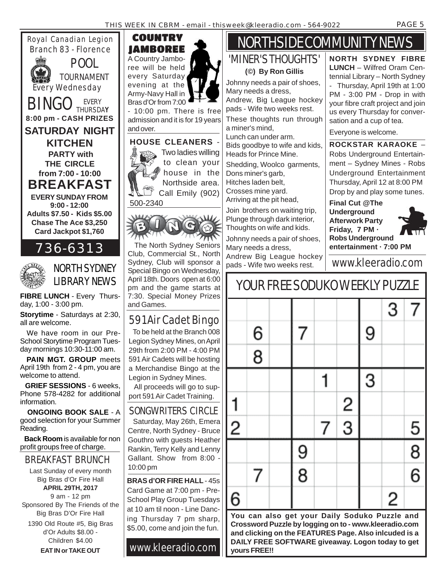Royal Canadian Legion Branch 83 - Florence



POOL TOURNAMENT Every Wednesday

**EVERY SUNDAY FROM 9:00 - 12:00 Adults \$7.50 - Kids \$5.00 Chase The Ace \$3,250 Card Jackpot \$1,760** BINGO EVERY **8:00 pm - CASH PRIZES SATURDAY NIGHT KITCHEN PARTY with THE CIRCLE from 7:00 - 10:00 BREAKFAST**



# 736-6313



**FIBRE LUNCH - Every Thurs**day, 1:00 - 3:00 pm.

**Storytime** - Saturdays at 2:30, all are welcome.

 We have room in our Pre-School Storytime Program Tuesday mornings 10:30-11:00 am.

 **PAIN MGT. GROUP** meets April 19th from 2 - 4 pm, you are welcome to attend.

 **GRIEF SESSIONS** - 6 weeks, Phone 578-4282 for additional information.

 **ONGOING BOOK SALE** - A good selection for your Summer Reading.

 **Back Room** is available for non profit groups free of charge.

## BREAKFAST BRUNCH

Last Sunday of every month Big Bras d'Or Fire Hall **APRIL 29TH, 2017** 9 am - 12 pm Sponsored By The Friends of the

Big Bras D'Or Fire Hall 1390 Old Route #5, Big Bras d'Or Adults \$8.00 - Children \$4.00

**EAT IN or TAKE OUT**



- 10:00 pm. There is free admission and it is for 19 years and over.



to clean your house in the Northside area. Call Emily (902) 500-2340



 The North Sydney Seniors Club, Commercial St., North Sydney, Club will sponsor a Special Bingo on Wednesday, April 18th. Doors open at 6:00 pm and the game starts at 7:30. Special Money Prizes and Games.

## 591 Air Cadet Bingo

 To be held at the Branch 008 Legion Sydney Mines, on April 29th from 2:00 PM - 4:00 PM 591 Air Cadets will be hosting a Merchandise Bingo at the Legion in Sydney Mines.

 All proceeds will go to support 591 Air Cadet Training.

## SONGWRITERS CIRCLE

 Saturday, May 26th, Emera Centre, North Sydney - Bruce Gouthro with guests Heather Rankin, Terry Kelly and Lenny Gallant. Show from 8:00 - 10:00 pm

**BRAS d'OR FIRE HALL** - 45s Card Game at 7:00 pm - Pre-School Play Group Tuesdays at 10 am til noon - Line Dancing Thursday 7 pm sharp, \$5.00, come and join the fun.

www.kleeradio.com

# NORTHSIDE COMMUNITY NEWS

# 'MINER'S THOUGHTS'

**(©) By Ron Gillis**

Johnny needs a pair of shoes, Mary needs a dress, Andrew, Big League hockey pads - Wife two weeks rest. These thoughts run through a miner's mind,

Lunch can under arm. Bids goodbye to wife and kids, Heads for Prince Mine.

Shedding, Woolco garments, Dons miner's garb, Hitches laden belt, Crosses mine yard. Arriving at the pit head,

Join brothers on waiting trip, Plunge through dark interior, Thoughts on wife and kids.

Johnny needs a pair of shoes, Mary needs a dress, Andrew Big League hockey

pads - Wife two weeks rest. Www.kleeradio.com

**You can also get your Daily Soduko Puzzle and Crossword Puzzle by logging on to - www.kleeradio.com and clicking on the FEATURES Page. Also inlcuded is a DAILY FREE SOFTWARE giveaway. Logon today to get yours FREE!!**

**NORTH SYDNEY FIBRE LUNCH** – Wilfred Oram Centennial Library – North Sydney - Thursday, April 19th at 1:00 PM - 3:00 PM - Drop in with your fibre craft project and join us every Thursday for conversation and a cup of tea.

Everyone is welcome.

**ROCKSTAR KARAOKE** – Robs Underground Entertainment – Sydney Mines - Robs Underground Entertainment Thursday, April 12 at 8:00 PM Drop by and play some tunes.

**Final Cut @The Underground Afterwork Party Friday, 7 PM · Robs Underground entertainment · 7:00 PM**

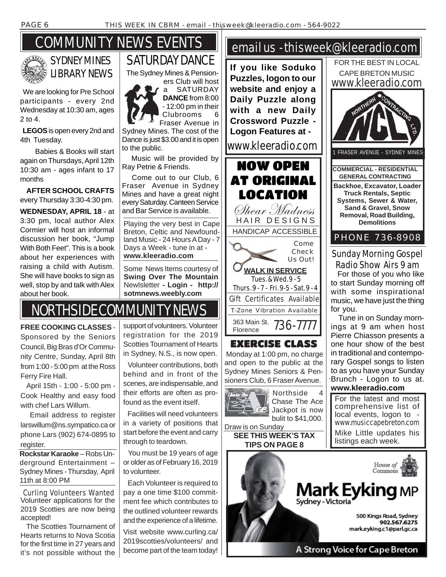# SYDNEY MINES LIBRARY NEWS

COMMUNITY NEWS EVENTS

 We are looking for Pre School participants - every 2nd Wednesday at 10:30 am, ages 2 to 4.

 **LEGOS** is open every 2nd and 4th Tuesday.

 Babies & Books will start again on Thursdays, April 12th 10:30 am - ages infant to 17 months

 **AFTER SCHOOL CRAFTS** every Thursday 3:30-4:30 pm. **WEDNESDAY, APRIL 18** - at 3:30 pm, local author Alex Cormier will host an informal discussion her book, "Jump With Both Feet". This is a book about her experiences with raising a child with Autism. She will have books to sign as well, stop by and talk with Alex

about her book.





Fraser Avenue in Sydney Mines. The cost of the Dance is just \$3.00 and it is open to the public.

SATURDAY DANCE

 Music will be provided by Ray Petrie & Friends.

 Come out to our Club, 6 Fraser Avenue in Sydney Mines and have a great night every Saturday. Canteen Service and Bar Service is available.

Playing the very best in Cape Breton, Celtic and Newfoundland Music - 24 Hours A Day - 7 Days a Week - tune in at **www.kleeradio.com**

Some News Items courtesy of **Swing Over The Mountain** Newlsletter **- Login - http:// sotmnews.weebly.com**

# NORTHSIDE COMMUNITY NEWS

**FREE COOKING CLASSES** - Sponsored by the Seniors Council, Big Bras d'Or Community Centre, Sunday, April 8th from 1:00 - 5:00 pm at the Ross Ferry Fire Hall.

 April 15th - 1:00 - 5:00 pm - Cook Healthy and easy food with chef Lars Willum.

 Email address to register larswillum@ns.sympatico.ca or phone Lars (902) 674-0895 to register.

**Rockstar Karaoke** – Robs Underground Entertainment – Sydney Mines - Thursday, April 11th at 8:00 PM

Volunteer applications for the 2019 Scotties are now being accepted! Curling Volunteers Wanted

 The Scotties Tournament of Hearts returns to Nova Scotia for the first time in 27 years and it's not possible without the support of volunteers. Volunteer registration for the 2019 Scotties Tournament of Hearts in Sydney, N.S., is now open.

 Volunteer contributions, both behind and in front of the scenes, are indispensable, and their efforts are often as profound as the event itself.

 Facilities will need volunteers in a variety of positions that start before the event and carry through to teardown.

 You must be 19 years of age or older as of February 16, 2019 to volunteer.

 Each Volunteer is required to pay a one time \$100 commitment fee which contributes to the outlined volunteer rewards and the experience of a lifetime.

Visit website www.curling.ca/ 2019scotties/volunteers/ and become part of the team today!

## email us - thisweek@kleeradio.com

**If you like Soduko Puzzles, logon to our website and enjoy a Daily Puzzle along with a new Daily Crossword Puzzle - Logon Features at**  www.kleeradio.com



EXERCISE CLASS Monday at 1:00 pm, no charge and open to the public at the Sydney Mines Seniors & Pensioners Club, 6 Fraser Avenue.



 $E2$  Jackpot is now bulit to \$41,000. Draw is on Sunday

**SEE THIS WEEK'S TAX TIPS ON PAGE 8**



to start Sunday morning off with some inspirational music, we have just the thing for you.

 Tune in on Sunday mornings at 9 am when host Pierre Chiasson presents a one hour show of the best in traditional and contemporary Gospel songs to listen to as you have your Sunday Brunch - Logon to us at. **www.kleeradio.com**

For the latest and most comprehensive list of local events, logon to www.musiccapebreton.com Mike Little updates his listings each week.

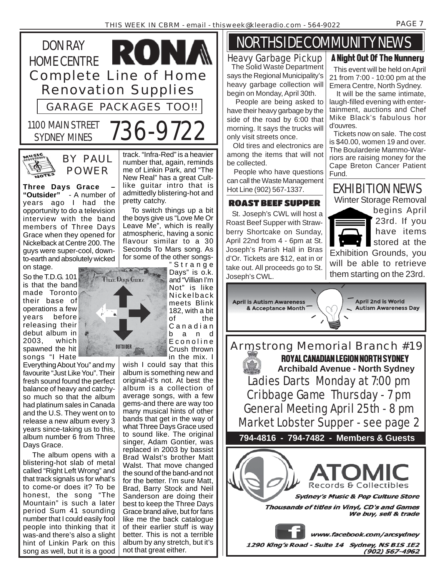



BY PAUL POWER

**Three Days Grace – "Outsider"** - A number of years ago I had the opportunity to do a television interview with the band members of Three Days Grace when they opened for Nickelback at Centre 200. The guys were super-cool, downto-earth and absolutely wicked on stage.

So the T.D.G. 101 is that the band made Toronto their base of operations a few years before releasing their debut album in 2003, which spawned the hit songs "I Hate

Everything About You" and my favourite "Just Like You". Their fresh sound found the perfect balance of heavy and catchyso much so that the album had platinum sales in Canada and the U.S. They went on to release a new album every 3 years since-taking us to this, album number 6 from Three Days Grace.

 The album opens with a blistering-hot slab of metal called "Right Left Wrong" and that track signals us for what's to come-or does it? To be honest, the song "The Mountain" is such a later period Sum 41 sounding number that I could easily fool people into thinking that it was-and there's also a slight hint of Linkin Park on this song as well, but it is a good track. "Infra-Red" is a heavier number that, again, reminds me of Linkin Park, and "The New Real" has a great Cultlike guitar intro that is admittedly blistering-hot and pretty catchy.

 To switch things up a bit the boys give us "Love Me Or Leave Me", which is really atmospheric, having a sonic flavour similar to a 30 Seconds To Mars song. As for some of the other songs- "Strange

STATISTICS.

**Three Days Grace** 

**OUTSIDER** 

Days" is o.k. and "Villian I'm Not" is like Nickelback meets Blink 182, with a bit of the Canadian band Econoline Crush thrown in the mix. I

wish I could say that this album is something new and original-it's not. At best the album is a collection of average songs, with a few gems-and there are way too many musical hints of other bands that get in the way of what Three Days Grace used to sound like. The original singer, Adam Gontier, was replaced in 2003 by bassist Brad Walst's brother Matt Walst. That move changed the sound of the band-and not for the better. I'm sure Matt, Brad, Barry Stock and Neil Sanderson are doing their best to keep the Three Days Grace brand alive, but for fans like me the back catalogue of their earlier stuff is way better. This is not a terrible album by any stretch, but it's not that great either.

## NORTHSIDE COMMUNITY NEWS A Night Out Of The Nunnery

Heavy Garbage Pickup

 The Solid Waste Department says the Regional Municipality's heavy garbage collection will begin on Monday, April 30th.

 People are being asked to have their heavy garbage by the side of the road by 6:00 that morning. It says the trucks will only visit streets once.

 Old tires and electronics are among the items that will not be collected.

 People who have questions can call the Waste Management Hot Line (902) 567-1337.

 St. Joseph's CWL will host a Roast Beef Supper with Strawberry Shortcake on Sunday, April 22nd from 4 - 6pm at St. Joseph's Parish Hall in Bras d'Or. Tickets are \$12, eat in or take out. All proceeds go to St. Joseph's CWL.

 This event will be held on April 21 from 7:00 - 10:00 pm at the

Emera Centre, North Sydney. It will be the same intimate, laugh-filled evening with entertainment, auctions and Chef Mike Black's fabulous hor d'ouvres.

 Tickets now on sale. The cost is \$40.00, women 19 and over. The Boularderie Mammo-Warriors are raising money for the Cape Breton Cancer Patient Fund.

## EXHIBITION NEWS

ROAST BEEF SUPPER Winter Storage Removal

 $(902)$  567-4962

begins April 23rd. If you have items stored at the Exhibition Grounds, you will be able to retrieve them starting on the 23rd.



Armstrong Memorial Branch #19 ROYAL CANADIAN LEGION NORTH SYDNEY **Archibald Avenue - North Sydney** Ladies Darts Monday at 7:00 pm Cribbage Game Thursday - 7 pm General Meeting April 25th - 8 pm Market Lobster Supper - see page 2 **794-4816 - 794-7482 - Members & Guests** Records & Collectibles **Sydney's Music & Pop Culture Store** Thousands of titles in Vinyl, CD's and Games We buy, sell & trade www.facebook.com/arcsydney 1290 King's Road - Suite 14 Sydney, NS B1S 1E2